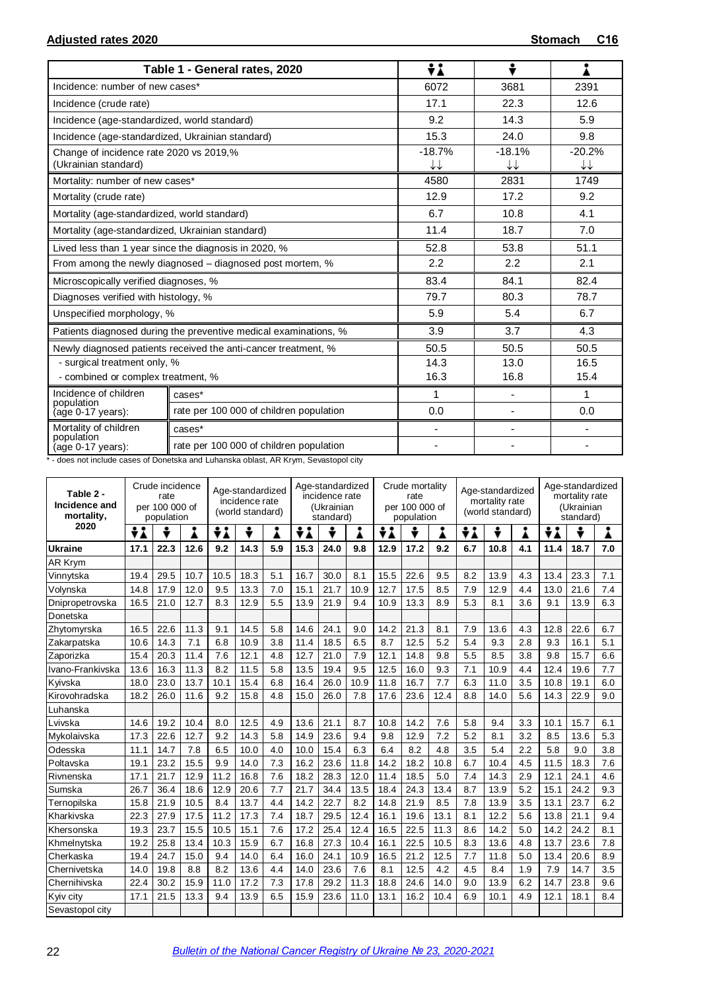|                                                                 | Table 1 - General rates, 2020                                    | ÷i             | ÷              |                |
|-----------------------------------------------------------------|------------------------------------------------------------------|----------------|----------------|----------------|
| Incidence: number of new cases*                                 |                                                                  | 6072           | 3681           | 2391           |
| Incidence (crude rate)                                          |                                                                  | 17.1           | 22.3           | 12.6           |
| Incidence (age-standardized, world standard)                    |                                                                  | 9.2            | 14.3           | 5.9            |
| Incidence (age-standardized, Ukrainian standard)                |                                                                  | 15.3           | 24.0           | 9.8            |
| Change of incidence rate 2020 vs 2019,%<br>(Ukrainian standard) |                                                                  | $-18.7%$<br>↓↓ | $-18.1%$<br>↓↓ | $-20.2%$<br>↓↓ |
| Mortality: number of new cases*                                 |                                                                  | 4580           | 2831           | 1749           |
| Mortality (crude rate)                                          |                                                                  | 12.9           | 17.2           | 9.2            |
| Mortality (age-standardized, world standard)                    |                                                                  | 6.7            | 10.8           | 4.1            |
| Mortality (age-standardized, Ukrainian standard)                |                                                                  | 11.4           | 18.7           | 7.0            |
|                                                                 | Lived less than 1 year since the diagnosis in 2020, %            | 52.8           | 53.8           | 51.1           |
|                                                                 | From among the newly diagnosed - diagnosed post mortem, %        | 2.2            | 2.2            | 2.1            |
| Microscopically verified diagnoses, %                           |                                                                  | 83.4           | 84.1           | 82.4           |
| Diagnoses verified with histology, %                            |                                                                  | 79.7           | 80.3           | 78.7           |
| Unspecified morphology, %                                       |                                                                  | 5.9            | 5.4            | 6.7            |
|                                                                 | Patients diagnosed during the preventive medical examinations, % | 3.9            | 3.7            | 4.3            |
|                                                                 | Newly diagnosed patients received the anti-cancer treatment, %   | 50.5           | 50.5           | 50.5           |
| - surgical treatment only, %                                    |                                                                  | 14.3           | 13.0           | 16.5           |
| - combined or complex treatment, %                              |                                                                  | 16.3           | 16.8           | 15.4           |
| Incidence of children<br>population                             | cases*                                                           | 1              |                | 1              |
| (age 0-17 years):                                               | rate per 100 000 of children population                          | 0.0            |                | 0.0            |
| Mortality of children                                           | cases*                                                           |                |                |                |
| population<br>(age 0-17 years):                                 | rate per 100 000 of children population                          |                |                |                |

\* - does not include cases of Donetska and Luhanska oblast, AR Krym, Sevastopol city

| Table 2 -<br>Incidence and<br>mortality, | Crude incidence<br>rate<br>per 100 000 of<br>population |      |      | Age-standardized<br>incidence rate<br>(world standard) |      |     | Age-standardized<br>incidence rate<br>(Ukrainian<br>standard) |      |      | Crude mortality<br>rate<br>per 100 000 of<br>population |      |      | Age-standardized<br>mortality rate<br>(world standard) |      |     | Age-standardized<br>mortality rate<br>(Ukrainian<br>standard) |      |     |
|------------------------------------------|---------------------------------------------------------|------|------|--------------------------------------------------------|------|-----|---------------------------------------------------------------|------|------|---------------------------------------------------------|------|------|--------------------------------------------------------|------|-----|---------------------------------------------------------------|------|-----|
| 2020                                     | ÷ί                                                      | ÷    |      | ÷λ                                                     | ÷    | Å   | ÷λ                                                            | ÷    |      | ÷ί                                                      |      |      | ŧΔ<br>÷<br>Â                                           |      |     | ÷i                                                            | ÷    |     |
| <b>Ukraine</b>                           | 17.1                                                    | 22.3 | 12.6 | 9.2                                                    | 14.3 | 5.9 | 15.3                                                          | 24.0 | 9.8  | 12.9                                                    | 17.2 | 9.2  | 6.7                                                    | 10.8 | 4.1 | 11.4                                                          | 18.7 | 7.0 |
| AR Krym                                  |                                                         |      |      |                                                        |      |     |                                                               |      |      |                                                         |      |      |                                                        |      |     |                                                               |      |     |
| Vinnytska                                | 19.4                                                    | 29.5 | 10.7 | 10.5                                                   | 18.3 | 5.1 | 16.7                                                          | 30.0 | 8.1  | 15.5                                                    | 22.6 | 9.5  | 8.2                                                    | 13.9 | 4.3 | 13.4                                                          | 23.3 | 7.1 |
| Volynska                                 | 14.8                                                    | 17.9 | 12.0 | 9.5                                                    | 13.3 | 7.0 | 15.1                                                          | 21.7 | 10.9 | 12.7                                                    | 17.5 | 8.5  | 7.9                                                    | 12.9 | 4.4 | 13.0                                                          | 21.6 | 7.4 |
| Dnipropetrovska                          | 16.5                                                    | 21.0 | 12.7 | 8.3                                                    | 12.9 | 5.5 | 13.9                                                          | 21.9 | 9.4  | 10.9                                                    | 13.3 | 8.9  | 5.3                                                    | 8.1  | 3.6 | 9.1                                                           | 13.9 | 6.3 |
| Donetska                                 |                                                         |      |      |                                                        |      |     |                                                               |      |      |                                                         |      |      |                                                        |      |     |                                                               |      |     |
| Zhytomyrska                              | 16.5                                                    | 22.6 | 11.3 | 9.1                                                    | 14.5 | 5.8 | 14.6                                                          | 24.1 | 9.0  | 14.2                                                    | 21.3 | 8.1  | 7.9                                                    | 13.6 | 4.3 | 12.8                                                          | 22.6 | 6.7 |
| Zakarpatska                              | 10.6                                                    | 14.3 | 7.1  | 6.8                                                    | 10.9 | 3.8 | 11.4                                                          | 18.5 | 6.5  | 8.7                                                     | 12.5 | 5.2  | 5.4                                                    | 9.3  | 2.8 | 9.3                                                           | 16.1 | 5.1 |
| Zaporizka                                | 15.4                                                    | 20.3 | 11.4 | 7.6                                                    | 12.1 | 4.8 | 12.7                                                          | 21.0 | 7.9  | 12.1                                                    | 14.8 | 9.8  | 5.5                                                    | 8.5  | 3.8 | 9.8                                                           | 15.7 | 6.6 |
| Ivano-Frankivska                         | 13.6                                                    | 16.3 | 11.3 | 8.2                                                    | 11.5 | 5.8 | 13.5                                                          | 19.4 | 9.5  | 12.5                                                    | 16.0 | 9.3  | 7.1                                                    | 10.9 | 4.4 | 12.4                                                          | 19.6 | 7.7 |
| Kyivska                                  | 18.0                                                    | 23.0 | 13.7 | 10.1                                                   | 15.4 | 6.8 | 16.4                                                          | 26.0 | 10.9 | 11.8                                                    | 16.7 | 7.7  | 6.3                                                    | 11.0 | 3.5 | 10.8                                                          | 19.1 | 6.0 |
| Kirovohradska                            | 18.2                                                    | 26.0 | 11.6 | 9.2                                                    | 15.8 | 4.8 | 15.0                                                          | 26.0 | 7.8  | 17.6                                                    | 23.6 | 12.4 | 8.8                                                    | 14.0 | 5.6 | 14.3                                                          | 22.9 | 9.0 |
| Luhanska                                 |                                                         |      |      |                                                        |      |     |                                                               |      |      |                                                         |      |      |                                                        |      |     |                                                               |      |     |
| Lvivska                                  | 14.6                                                    | 19.2 | 10.4 | 8.0                                                    | 12.5 | 4.9 | 13.6                                                          | 21.1 | 8.7  | 10.8                                                    | 14.2 | 7.6  | 5.8                                                    | 9.4  | 3.3 | 10.1                                                          | 15.7 | 6.1 |
| Mykolaivska                              | 17.3                                                    | 22.6 | 12.7 | 9.2                                                    | 14.3 | 5.8 | 14.9                                                          | 23.6 | 9.4  | 9.8                                                     | 12.9 | 7.2  | 5.2                                                    | 8.1  | 3.2 | 8.5                                                           | 13.6 | 5.3 |
| Odesska                                  | 11.1                                                    | 14.7 | 7.8  | 6.5                                                    | 10.0 | 4.0 | 10.0                                                          | 15.4 | 6.3  | 6.4                                                     | 8.2  | 4.8  | 3.5                                                    | 5.4  | 2.2 | 5.8                                                           | 9.0  | 3.8 |
| Poltavska                                | 19.1                                                    | 23.2 | 15.5 | 9.9                                                    | 14.0 | 7.3 | 16.2                                                          | 23.6 | 11.8 | 14.2                                                    | 18.2 | 10.8 | 6.7                                                    | 10.4 | 4.5 | 11.5                                                          | 18.3 | 7.6 |
| Rivnenska                                | 17.1                                                    | 21.7 | 12.9 | 11.2                                                   | 16.8 | 7.6 | 18.2                                                          | 28.3 | 12.0 | 11.4                                                    | 18.5 | 5.0  | 7.4                                                    | 14.3 | 2.9 | 12.1                                                          | 24.1 | 4.6 |
| Sumska                                   | 26.7                                                    | 36.4 | 18.6 | 12.9                                                   | 20.6 | 7.7 | 21.7                                                          | 34.4 | 13.5 | 18.4                                                    | 24.3 | 13.4 | 8.7                                                    | 13.9 | 5.2 | 15.1                                                          | 24.2 | 9.3 |
| Ternopilska                              | 15.8                                                    | 21.9 | 10.5 | 8.4                                                    | 13.7 | 4.4 | 14.2                                                          | 22.7 | 8.2  | 14.8                                                    | 21.9 | 8.5  | 7.8                                                    | 13.9 | 3.5 | 13.1                                                          | 23.7 | 6.2 |
| Kharkivska                               | 22.3                                                    | 27.9 | 17.5 | 11.2                                                   | 17.3 | 7.4 | 18.7                                                          | 29.5 | 12.4 | 16.1                                                    | 19.6 | 13.1 | 8.1                                                    | 12.2 | 5.6 | 13.8                                                          | 21.1 | 9.4 |
| Khersonska                               | 19.3                                                    | 23.7 | 15.5 | 10.5                                                   | 15.1 | 7.6 | 17.2                                                          | 25.4 | 12.4 | 16.5                                                    | 22.5 | 11.3 | 8.6                                                    | 14.2 | 5.0 | 14.2                                                          | 24.2 | 8.1 |
| Khmelnytska                              | 19.2                                                    | 25.8 | 13.4 | 10.3                                                   | 15.9 | 6.7 | 16.8                                                          | 27.3 | 10.4 | 16.1                                                    | 22.5 | 10.5 | 8.3                                                    | 13.6 | 4.8 | 13.7                                                          | 23.6 | 7.8 |
| Cherkaska                                | 19.4                                                    | 24.7 | 15.0 | 9.4                                                    | 14.0 | 6.4 | 16.0                                                          | 24.1 | 10.9 | 16.5                                                    | 21.2 | 12.5 | 7.7                                                    | 11.8 | 5.0 | 13.4                                                          | 20.6 | 8.9 |
| Chernivetska                             | 14.0                                                    | 19.8 | 8.8  | 8.2                                                    | 13.6 | 4.4 | 14.0                                                          | 23.6 | 7.6  | 8.1                                                     | 12.5 | 4.2  | 4.5                                                    | 8.4  | 1.9 | 7.9                                                           | 14.7 | 3.5 |
| Chernihivska                             | 22.4                                                    | 30.2 | 15.9 | 11.0                                                   | 17.2 | 7.3 | 17.8                                                          | 29.2 | 11.3 | 18.8                                                    | 24.6 | 14.0 | 9.0                                                    | 13.9 | 6.2 | 14.7                                                          | 23.8 | 9.6 |
| Kyiv city                                | 17.1                                                    | 21.5 | 13.3 | 9.4                                                    | 13.9 | 6.5 | 15.9                                                          | 23.6 | 11.0 | 13.1                                                    | 16.2 | 10.4 | 6.9                                                    | 10.1 | 4.9 | 12.1                                                          | 18.1 | 8.4 |
| Sevastopol city                          |                                                         |      |      |                                                        |      |     |                                                               |      |      |                                                         |      |      |                                                        |      |     |                                                               |      |     |